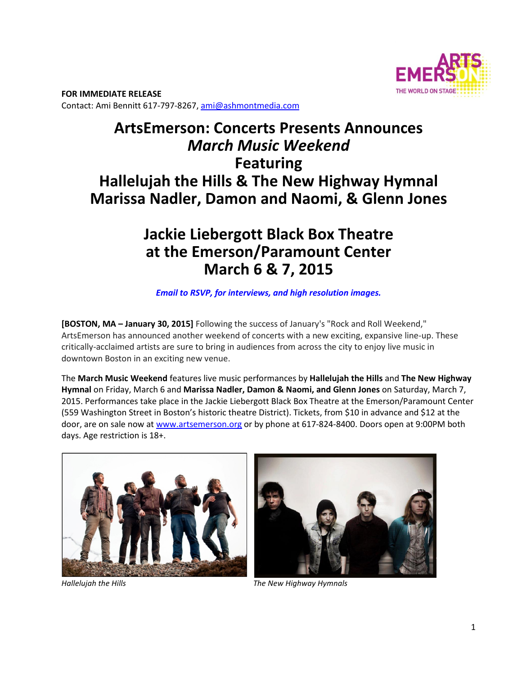

**FOR IMMEDIATE RELEASE**  Contact: Ami Bennitt 617‐797‐8267, ami@ashmontmedia.com

# **ArtsEmerson: Concerts Presents Announces**  *March Music Weekend* **Featuring Hallelujah the Hills & The New Highway Hymnal Marissa Nadler, Damon and Naomi, & Glenn Jones**

## **Jackie Liebergott Black Box Theatre at the Emerson/Paramount Center March 6 & 7, 2015**

### *Email to RSVP, for interviews, and high resolution images.*

**[BOSTON, MA – January 30, 2015]** Following the success of January's "Rock and Roll Weekend," ArtsEmerson has announced another weekend of concerts with a new exciting, expansive line‐up. These critically‐acclaimed artists are sure to bring in audiences from across the city to enjoy live music in downtown Boston in an exciting new venue.

The **March Music Weekend** features live music performances by **Hallelujah the Hills** and **The New Highway Hymnal** on Friday, March 6 and **Marissa Nadler, Damon & Naomi, and Glenn Jones** on Saturday, March 7, 2015. Performances take place in the Jackie Liebergott Black Box Theatre at the Emerson/Paramount Center (559 Washington Street in Boston's historic theatre District). Tickets, from \$10 in advance and \$12 at the door, are on sale now at www.artsemerson.org or by phone at 617-824-8400. Doors open at 9:00PM both days. Age restriction is 18+.





*Hallelujah the Hills The New Highway Hymnals*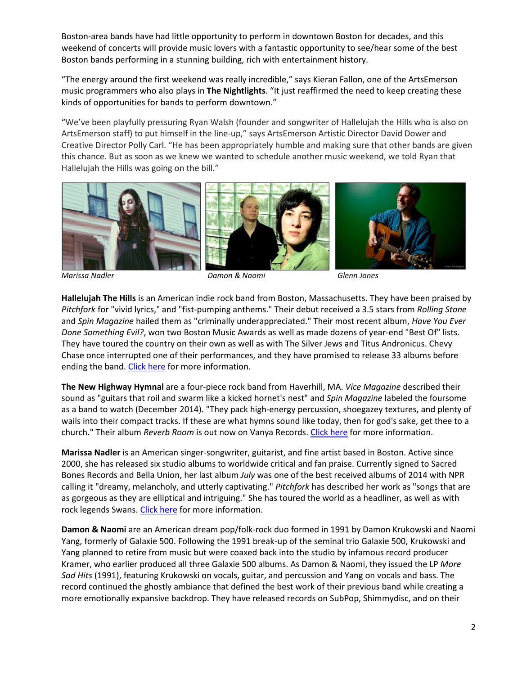Boston‐area bands have had little opportunity to perform in downtown Boston for decades, and this weekend of concerts will provide music lovers with a fantastic opportunity to see/hear some of the best Boston bands performing in a stunning building, rich with entertainment history.

"The energy around the first weekend was really incredible," says Kieran Fallon, one of the ArtsEmerson music programmers who also plays in **The Nightlights**. "It just reaffirmed the need to keep creating these kinds of opportunities for bands to perform downtown."

"We've been playfully pressuring Ryan Walsh (founder and songwriter of Hallelujah the Hills who is also on ArtsEmerson staff) to put himself in the line‐up," says ArtsEmerson Artistic Director David Dower and Creative Director Polly Carl. "He has been appropriately humble and making sure that other bands are given this chance. But as soon as we knew we wanted to schedule another music weekend, we told Ryan that Hallelujah the Hills was going on the bill."



*Marissa Nadler Damon & Naomi Glenn Jones* 

**Hallelujah The Hills** is an American indie rock band from Boston, Massachusetts. They have been praised by *Pitchfork* for "vivid lyrics," and "fist‐pumping anthems." Their debut received a 3.5 stars from *Rolling Stone* and *Spin Magazine* hailed them as "criminally underappreciated." Their most recent album, *Have You Ever Done Something Evil?*, won two Boston Music Awards as well as made dozens of year‐end "Best Of" lists. They have toured the country on their own as well as with The Silver Jews and Titus Andronicus. Chevy Chase once interrupted one of their performances, and they have promised to release 33 albums before ending the band. Click here for more information.

**The New Highway Hymnal** are a four‐piece rock band from Haverhill, MA. *Vice Magazine* described their sound as "guitars that roil and swarm like a kicked hornet's nest" and *Spin Magazine* labeled the foursome as a band to watch (December 2014). "They pack high‐energy percussion, shoegazey textures, and plenty of wails into their compact tracks. If these are what hymns sound like today, then for god's sake, get thee to a church." Their album *Reverb Room* is out now on Vanya Records. Click here for more information.

**Marissa Nadler** is an American singer‐songwriter, guitarist, and fine artist based in Boston. Active since 2000, she has released six studio albums to worldwide critical and fan praise. Currently signed to Sacred Bones Records and Bella Union, her last album *July* was one of the best received albums of 2014 with NPR calling it "dreamy, melancholy, and utterly captivating." *Pitchfork* has described her work as "songs that are as gorgeous as they are elliptical and intriguing." She has toured the world as a headliner, as well as with rock legends Swans. Click here for more information.

**Damon & Naomi** are an American dream pop/folk‐rock duo formed in 1991 by Damon Krukowski and Naomi Yang, formerly of Galaxie 500. Following the 1991 break‐up of the seminal trio Galaxie 500, Krukowski and Yang planned to retire from music but were coaxed back into the studio by infamous record producer Kramer, who earlier produced all three Galaxie 500 albums. As Damon & Naomi, they issued the LP *More Sad Hits* (1991), featuring Krukowski on vocals, guitar, and percussion and Yang on vocals and bass. The record continued the ghostly ambiance that defined the best work of their previous band while creating a more emotionally expansive backdrop. They have released records on SubPop, Shimmydisc, and on their